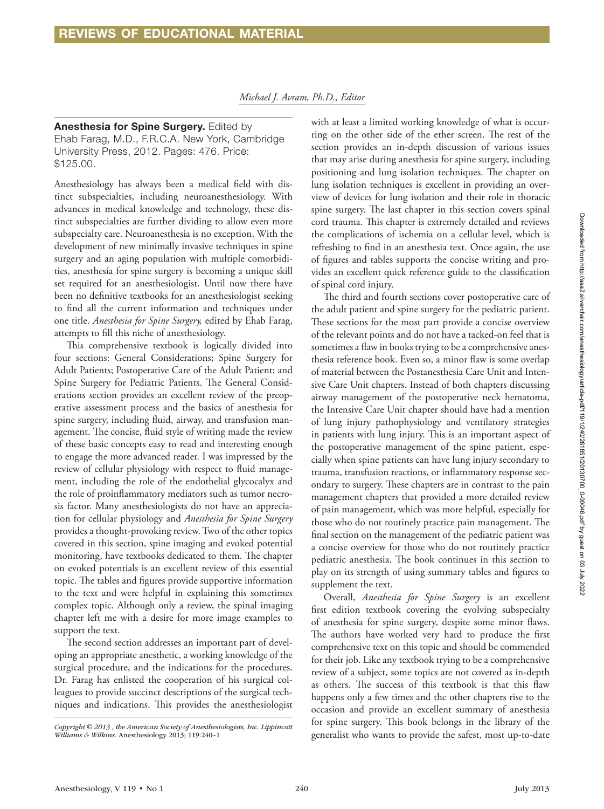Anesthesia for Spine Surgery. Edited by Ehab Farag, M.D., F.R.C.A. New York, Cambridge University Press, 2012. Pages: 476. Price: \$125.00.

Anesthesiology has always been a medical field with distinct subspecialties, including neuroanesthesiology. With advances in medical knowledge and technology, these distinct subspecialties are further dividing to allow even more subspecialty care. Neuroanesthesia is no exception. With the development of new minimally invasive techniques in spine surgery and an aging population with multiple comorbidities, anesthesia for spine surgery is becoming a unique skill set required for an anesthesiologist. Until now there have been no definitive textbooks for an anesthesiologist seeking to find all the current information and techniques under one title. *Anesthesia for Spine Surgery,* edited by Ehab Farag, attempts to fill this niche of anesthesiology.

This comprehensive textbook is logically divided into four sections: General Considerations; Spine Surgery for Adult Patients; Postoperative Care of the Adult Patient; and Spine Surgery for Pediatric Patients. The General Considerations section provides an excellent review of the preoperative assessment process and the basics of anesthesia for spine surgery, including fluid, airway, and transfusion management. The concise, fluid style of writing made the review of these basic concepts easy to read and interesting enough to engage the more advanced reader. I was impressed by the review of cellular physiology with respect to fluid management, including the role of the endothelial glycocalyx and the role of proinflammatory mediators such as tumor necrosis factor. Many anesthesiologists do not have an appreciation for cellular physiology and *Anesthesia for Spine Surgery* provides a thought-provoking review. Two of the other topics covered in this section, spine imaging and evoked potential monitoring, have textbooks dedicated to them. The chapter on evoked potentials is an excellent review of this essential topic. The tables and figures provide supportive information to the text and were helpful in explaining this sometimes complex topic. Although only a review, the spinal imaging chapter left me with a desire for more image examples to support the text.

The second section addresses an important part of developing an appropriate anesthetic, a working knowledge of the surgical procedure, and the indications for the procedures. Dr. Farag has enlisted the cooperation of his surgical colleagues to provide succinct descriptions of the surgical techniques and indications. This provides the anesthesiologist

with at least a limited working knowledge of what is occurring on the other side of the ether screen. The rest of the section provides an in-depth discussion of various issues that may arise during anesthesia for spine surgery, including positioning and lung isolation techniques. The chapter on lung isolation techniques is excellent in providing an overview of devices for lung isolation and their role in thoracic spine surgery. The last chapter in this section covers spinal cord trauma. This chapter is extremely detailed and reviews the complications of ischemia on a cellular level, which is refreshing to find in an anesthesia text. Once again, the use of figures and tables supports the concise writing and provides an excellent quick reference guide to the classification of spinal cord injury.

The third and fourth sections cover postoperative care of the adult patient and spine surgery for the pediatric patient. These sections for the most part provide a concise overview of the relevant points and do not have a tacked-on feel that is sometimes a flaw in books trying to be a comprehensive anesthesia reference book. Even so, a minor flaw is some overlap of material between the Postanesthesia Care Unit and Intensive Care Unit chapters. Instead of both chapters discussing airway management of the postoperative neck hematoma, the Intensive Care Unit chapter should have had a mention of lung injury pathophysiology and ventilatory strategies in patients with lung injury. This is an important aspect of the postoperative management of the spine patient, especially when spine patients can have lung injury secondary to trauma, transfusion reactions, or inflammatory response secondary to surgery. These chapters are in contrast to the pain management chapters that provided a more detailed review of pain management, which was more helpful, especially for those who do not routinely practice pain management. The final section on the management of the pediatric patient was a concise overview for those who do not routinely practice pediatric anesthesia. The book continues in this section to play on its strength of using summary tables and figures to supplement the text.

Overall, *Anesthesia for Spine Surgery* is an excellent first edition textbook covering the evolving subspecialty of anesthesia for spine surgery, despite some minor flaws. The authors have worked very hard to produce the first comprehensive text on this topic and should be commended for their job. Like any textbook trying to be a comprehensive review of a subject, some topics are not covered as in-depth as others. The success of this textbook is that this flaw happens only a few times and the other chapters rise to the occasion and provide an excellent summary of anesthesia for spine surgery. This book belongs in the library of the generalist who wants to provide the safest, most up-to-date

*Copyright © 2013 , the American Society of Anesthesiologists, Inc. Lippincott Williams & Wilkins.* Anesthesiology 2013; 119:240–1